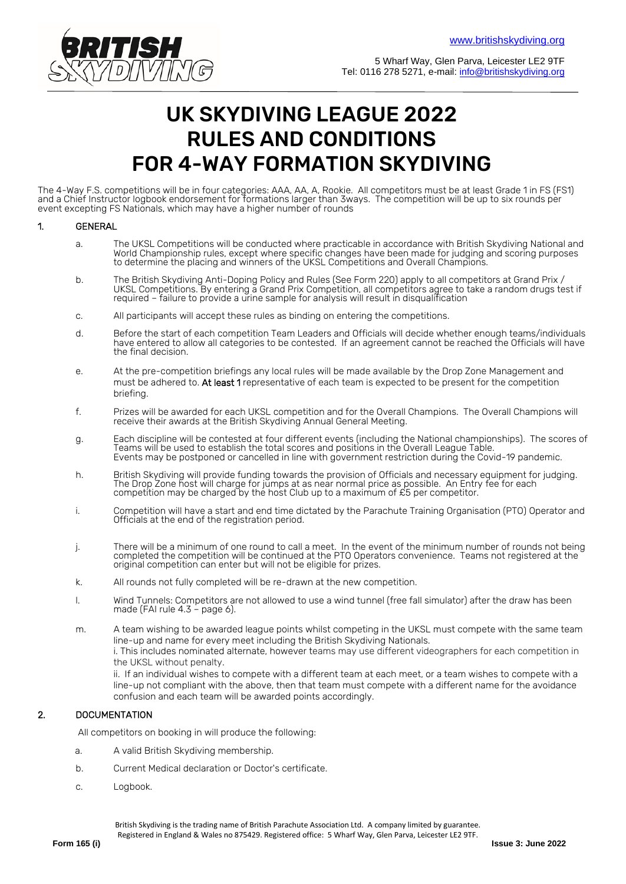

5 Wharf Way, Glen Parva, Leicester LE2 9TF Tel: 0116 278 5271, e-mail: info@britishskydiving.org

# UK SKYDIVING LEAGUE 2022 RULES AND CONDITIONS FOR 4-WAY FORMATION SKYDIVING

The 4-Way F.S. competitions will be in four categories: AAA, AA, A, Rookie. All competitors must be at least Grade 1 in FS (FS1) and a Chief Instructor logbook endorsement for formations larger than 3ways. The competition will be up to six rounds per event excepting FS Nationals, which may have a higher number of rounds

#### 1. GENERAL

- a. The UKSL Competitions will be conducted where practicable in accordance with British Skydiving National and World Championship rules, except where specific changes have been made for judging and scoring purposes to determine the placing and winners of the UKSL Competitions and Overall Champions.
- b. The British Skydiving Anti-Doping Policy and Rules (See Form 220) apply to all competitors at Grand Prix / UKSL Competitions. By entering a Grand Prix Competition, all competitors agree to take a random drugs test if required – failure to provide a urine sample for analysis will result in disqualification
- c. All participants will accept these rules as binding on entering the competitions.
- d. Before the start of each competition Team Leaders and Officials will decide whether enough teams/individuals have entered to allow all categories to be contested. If an agreement cannot be reached the Officials will have the final decision.
- e. At the pre-competition briefings any local rules will be made available by the Drop Zone Management and must be adhered to. At least 1 representative of each team is expected to be present for the competition briefing.
- f. Prizes will be awarded for each UKSL competition and for the Overall Champions. The Overall Champions will receive their awards at the British Skydiving Annual General Meeting.
- g. Each discipline will be contested at four different events (including the National championships). The scores of Teams will be used to establish the total scores and positions in the Overall League Table. Events may be postponed or cancelled in line with government restriction during the Covid-19 pandemic.
- h. British Skydiving will provide funding towards the provision of Officials and necessary equipment for judging. The Drop Zone host will charge for jumps at as near normal price as possible. An Entry fee for each competition may be charged by the host Club up to a maximum of  $\mathcal{E}5$  per competitor.
- i. Competition will have a start and end time dictated by the Parachute Training Organisation (PTO) Operator and Officials at the end of the registration period.
- j. There will be a minimum of one round to call a meet. In the event of the minimum number of rounds not being completed the competition will be continued at the PTO Operators convenience. Teams not registered at the original competition can enter but will not be eligible for prizes.
- k. All rounds not fully completed will be re-drawn at the new competition.
- l. Wind Tunnels: Competitors are not allowed to use a wind tunnel (free fall simulator) after the draw has been made (FAI rule 4.3 – page 6).
- m. A team wishing to be awarded league points whilst competing in the UKSL must compete with the same team line-up and name for every meet including the British Skydiving Nationals.

i. This includes nominated alternate, however teams may use different videographers for each competition in the UKSL without penalty.

ii. If an individual wishes to compete with a different team at each meet, or a team wishes to compete with a line-up not compliant with the above, then that team must compete with a different name for the avoidance confusion and each team will be awarded points accordingly.

# 2. DOCUMENTATION

All competitors on booking in will produce the following:

- a. A valid British Skydiving membership.
- b. Current Medical declaration or Doctor's certificate.
- c. Logbook.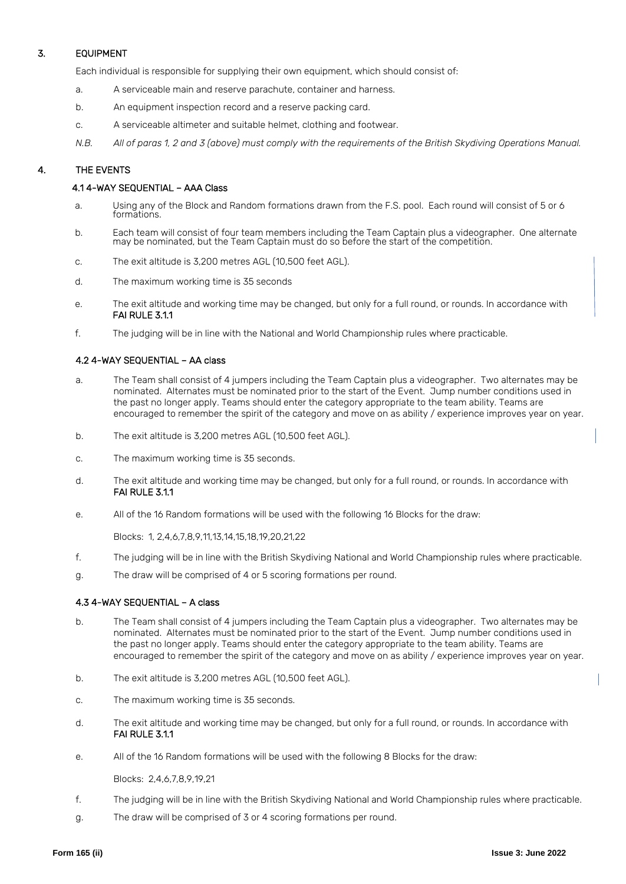# 3. EQUIPMENT

Each individual is responsible for supplying their own equipment, which should consist of:

- a. A serviceable main and reserve parachute, container and harness.
- b. An equipment inspection record and a reserve packing card.
- c. A serviceable altimeter and suitable helmet, clothing and footwear.
- *N.B. All of paras 1, 2 and 3 (above) must comply with the requirements of the British Skydiving Operations Manual.*

# 4. THE EVENTS

## 4.1 4-WAY SEQUENTIAL – AAA Class

- a. Using any of the Block and Random formations drawn from the F.S. pool. Each round will consist of 5 or 6 formations.
- b. Each team will consist of four team members including the Team Captain plus a videographer. One alternate may be nominated, but the Team Captain must do so before the start of the competition.
- c. The exit altitude is 3,200 metres AGL (10,500 feet AGL).
- d. The maximum working time is 35 seconds
- e. The exit altitude and working time may be changed, but only for a full round, or rounds. In accordance with FAI RULE 3.1.1
- f. The judging will be in line with the National and World Championship rules where practicable.

## 4.2 4-WAY SEQUENTIAL – AA class

- a. The Team shall consist of 4 jumpers including the Team Captain plus a videographer. Two alternates may be nominated. Alternates must be nominated prior to the start of the Event. Jump number conditions used in the past no longer apply. Teams should enter the category appropriate to the team ability. Teams are encouraged to remember the spirit of the category and move on as ability / experience improves year on year.
- b. The exit altitude is 3,200 metres AGL (10,500 feet AGL).
- c. The maximum working time is 35 seconds.
- d. The exit altitude and working time may be changed, but only for a full round, or rounds. In accordance with FAI RULE 3.1.1
- e. All of the 16 Random formations will be used with the following 16 Blocks for the draw:

Blocks: 1, 2,4,6,7,8,9,11,13,14,15,18,19,20,21,22

- f. The judging will be in line with the British Skydiving National and World Championship rules where practicable.
- g. The draw will be comprised of 4 or 5 scoring formations per round.

#### 4.3 4-WAY SEQUENTIAL – A class

- b. The Team shall consist of 4 jumpers including the Team Captain plus a videographer. Two alternates may be nominated. Alternates must be nominated prior to the start of the Event. Jump number conditions used in the past no longer apply. Teams should enter the category appropriate to the team ability. Teams are encouraged to remember the spirit of the category and move on as ability / experience improves year on year.
- b. The exit altitude is 3,200 metres AGL (10,500 feet AGL).
- c. The maximum working time is 35 seconds.
- d. The exit altitude and working time may be changed, but only for a full round, or rounds. In accordance with FAI RULE 3.1.1
- e. All of the 16 Random formations will be used with the following 8 Blocks for the draw:

Blocks: 2,4,6,7,8,9,19,21

- f. The judging will be in line with the British Skydiving National and World Championship rules where practicable.
- g. The draw will be comprised of 3 or 4 scoring formations per round.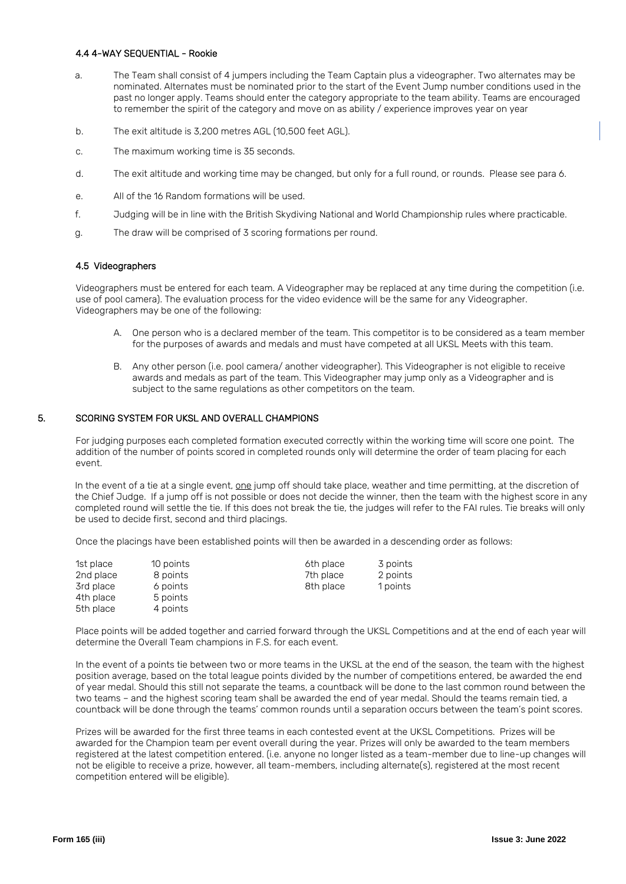#### 4.4 4-WAY SEQUENTIAL - Rookie

- a. The Team shall consist of 4 jumpers including the Team Captain plus a videographer. Two alternates may be nominated. Alternates must be nominated prior to the start of the Event Jump number conditions used in the past no longer apply. Teams should enter the category appropriate to the team ability. Teams are encouraged to remember the spirit of the category and move on as ability / experience improves year on year
- b. The exit altitude is 3,200 metres AGL (10,500 feet AGL).
- c. The maximum working time is 35 seconds.
- d. The exit altitude and working time may be changed, but only for a full round, or rounds. Please see para 6.
- e. All of the 16 Random formations will be used.
- f. Judging will be in line with the British Skydiving National and World Championship rules where practicable.
- g. The draw will be comprised of 3 scoring formations per round.

#### 4.5 Videographers

Videographers must be entered for each team. A Videographer may be replaced at any time during the competition (i.e. use of pool camera). The evaluation process for the video evidence will be the same for any Videographer. Videographers may be one of the following:

- A. One person who is a declared member of the team. This competitor is to be considered as a team member for the purposes of awards and medals and must have competed at all UKSL Meets with this team.
- B. Any other person (i.e. pool camera/ another videographer). This Videographer is not eligible to receive awards and medals as part of the team. This Videographer may jump only as a Videographer and is subject to the same regulations as other competitors on the team.

#### 5. SCORING SYSTEM FOR UKSL AND OVERALL CHAMPIONS

For judging purposes each completed formation executed correctly within the working time will score one point. The addition of the number of points scored in completed rounds only will determine the order of team placing for each event.

In the event of a tie at a single event, one jump off should take place, weather and time permitting, at the discretion of the Chief Judge. If a jump off is not possible or does not decide the winner, then the team with the highest score in any completed round will settle the tie. If this does not break the tie, the judges will refer to the FAI rules. Tie breaks will only be used to decide first, second and third placings.

Once the placings have been established points will then be awarded in a descending order as follows:

| 1st place | 10 points | 6th place | 3 points |
|-----------|-----------|-----------|----------|
| 2nd place | 8 points  | 7th place | 2 points |
| 3rd place | 6 points  | 8th place | 1 points |
| 4th place | 5 points  |           |          |
| 5th place | 4 points  |           |          |

Place points will be added together and carried forward through the UKSL Competitions and at the end of each year will determine the Overall Team champions in F.S. for each event.

In the event of a points tie between two or more teams in the UKSL at the end of the season, the team with the highest position average, based on the total league points divided by the number of competitions entered, be awarded the end of year medal. Should this still not separate the teams, a countback will be done to the last common round between the two teams – and the highest scoring team shall be awarded the end of year medal. Should the teams remain tied, a countback will be done through the teams' common rounds until a separation occurs between the team's point scores.

Prizes will be awarded for the first three teams in each contested event at the UKSL Competitions. Prizes will be awarded for the Champion team per event overall during the year. Prizes will only be awarded to the team members registered at the latest competition entered. (i.e. anyone no longer listed as a team-member due to line-up changes will not be eligible to receive a prize, however, all team-members, including alternate(s), registered at the most recent competition entered will be eligible).